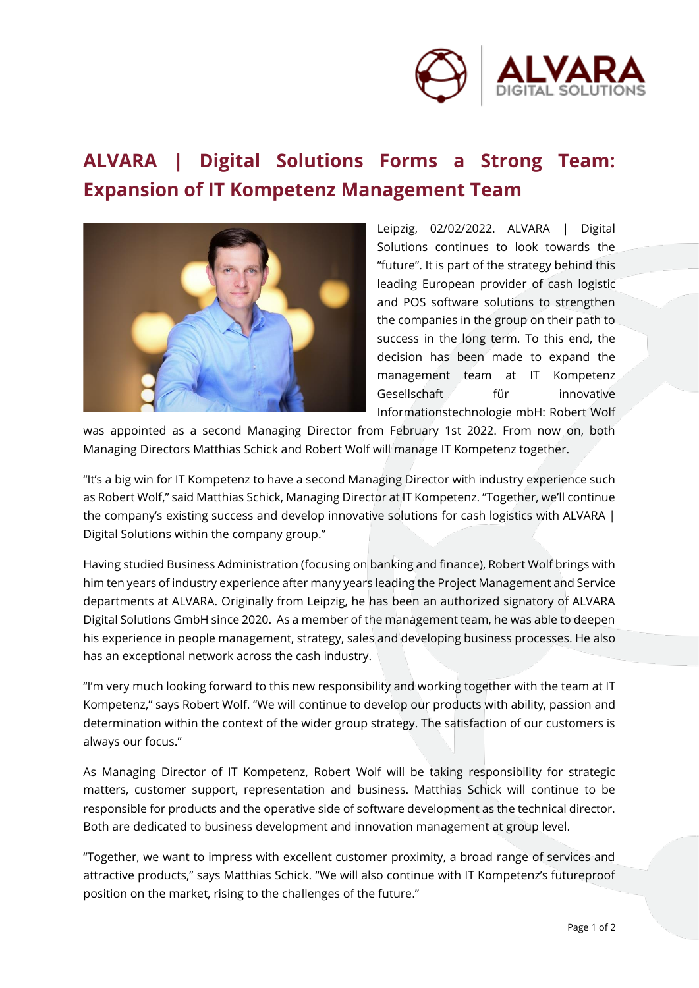

## **ALVARA | Digital Solutions Forms a Strong Team: Expansion of IT Kompetenz Management Team**



Leipzig, 02/02/2022. ALVARA | Digital Solutions continues to look towards the "future". It is part of the strategy behind this leading European provider of cash logistic and POS software solutions to strengthen the companies in the group on their path to success in the long term. To this end, the decision has been made to expand the management team at IT Kompetenz Gesellschaft für innovative Informationstechnologie mbH: Robert Wolf

was appointed as a second Managing Director from February 1st 2022. From now on, both Managing Directors Matthias Schick and Robert Wolf will manage IT Kompetenz together.

"It's a big win for IT Kompetenz to have a second Managing Director with industry experience such as Robert Wolf," said Matthias Schick, Managing Director at IT Kompetenz. "Together, we'll continue the company's existing success and develop innovative solutions for cash logistics with ALVARA | Digital Solutions within the company group."

Having studied Business Administration (focusing on banking and finance), Robert Wolf brings with him ten years of industry experience after many years leading the Project Management and Service departments at ALVARA. Originally from Leipzig, he has been an authorized signatory of ALVARA Digital Solutions GmbH since 2020. As a member of the management team, he was able to deepen his experience in people management, strategy, sales and developing business processes. He also has an exceptional network across the cash industry.

"I'm very much looking forward to this new responsibility and working together with the team at IT Kompetenz," says Robert Wolf. "We will continue to develop our products with ability, passion and determination within the context of the wider group strategy. The satisfaction of our customers is always our focus."

As Managing Director of IT Kompetenz, Robert Wolf will be taking responsibility for strategic matters, customer support, representation and business. Matthias Schick will continue to be responsible for products and the operative side of software development as the technical director. Both are dedicated to business development and innovation management at group level.

"Together, we want to impress with excellent customer proximity, a broad range of services and attractive products," says Matthias Schick. "We will also continue with IT Kompetenz's futureproof position on the market, rising to the challenges of the future."